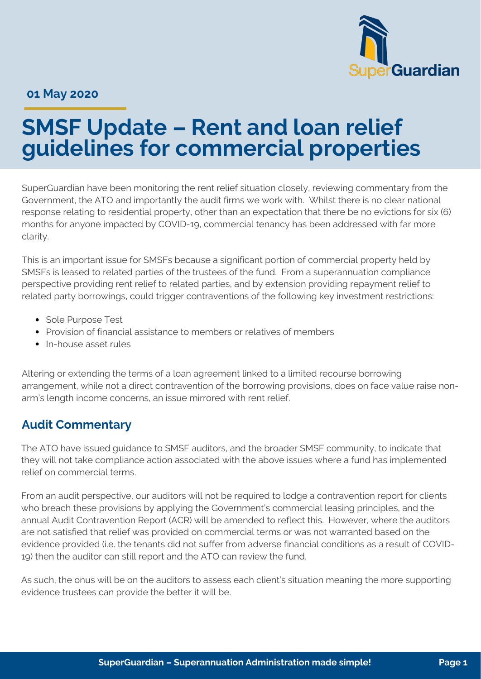

**01 May 2020**

# **SMSF Update – Rent and loan relief guidelines for commercial properties**

SuperGuardian have been monitoring the rent relief situation closely, reviewing commentary from the Government, the ATO and importantly the audit firms we work with. Whilst there is no clear national response relating to residential property, other than an expectation that there be no evictions for six (6) months for anyone impacted by COVID-19, commercial tenancy has been addressed with far more clarity.

This is an important issue for SMSFs because a significant portion of commercial property held by SMSFs is leased to related parties of the trustees of the fund. From a superannuation compliance perspective providing rent relief to related parties, and by extension providing repayment relief to related party borrowings, could trigger contraventions of the following key investment restrictions:

- Sole Purpose Test
- Provision of financial assistance to members or relatives of members
- In-house asset rules

Altering or extending the terms of a loan agreement linked to a limited recourse borrowing arrangement, while not a direct contravention of the borrowing provisions, does on face value raise nonarm's length income concerns, an issue mirrored with rent relief.

#### **Audit Commentary**

The ATO have issued guidance to SMSF auditors, and the broader SMSF community, to indicate that they will not take compliance action associated with the above issues where a fund has implemented relief on commercial terms.

From an audit perspective, our auditors will not be required to lodge a contravention report for clients who breach these provisions by applying the Government's commercial leasing principles, and the annual Audit Contravention Report (ACR) will be amended to reflect this. However, where the auditors are not satisfied that relief was provided on commercial terms or was not warranted based on the evidence provided (i.e. the tenants did not suffer from adverse financial conditions as a result of COVID-19) then the auditor can still report and the ATO can review the fund.

As such, the onus will be on the auditors to assess each client's situation meaning the more supporting evidence trustees can provide the better it will be.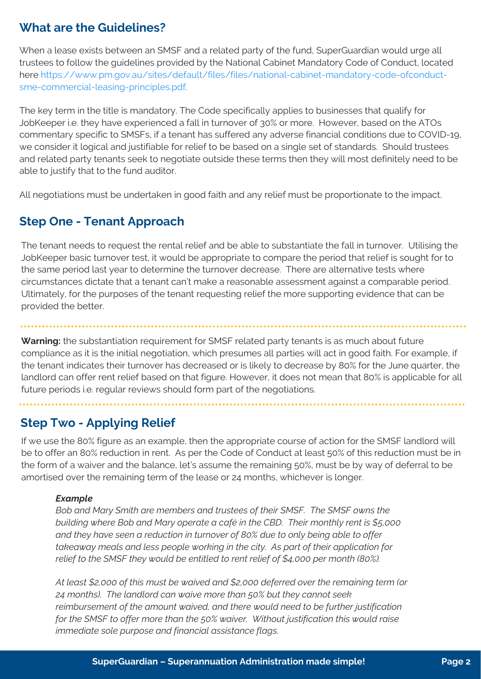# **What are the Guidelines?**

When a lease exists between an SMSF and a related party of the fund, SuperGuardian would urge all trustees to follow the guidelines provided by the National Cabinet Mandatory Code of Conduct, located [here https://www.pm.gov.au/sites/default/files/files/national-cabinet-mandatory-code-ofconduct](https://www.pm.gov.au/sites/default/files/files/national-cabinet-mandatory-code-ofconduct-sme-commercial-leasing-principles.pdf)sme-commercial-leasing-principles.pdf.

The key term in the title is mandatory. The Code specifically applies to businesses that qualify for JobKeeper i.e. they have experienced a fall in turnover of 30% or more. However, based on the ATOs commentary specific to SMSFs, if a tenant has suffered any adverse financial conditions due to COVID-19, we consider it logical and justifiable for relief to be based on a single set of standards. Should trustees and related party tenants seek to negotiate outside these terms then they will most definitely need to be able to justify that to the fund auditor.

All negotiations must be undertaken in good faith and any relief must be proportionate to the impact.

# **Step One - Tenant Approach**

The tenant needs to request the rental relief and be able to substantiate the fall in turnover. Utilising the JobKeeper basic turnover test, it would be appropriate to compare the period that relief is sought for to the same period last year to determine the turnover decrease. There are alternative tests where circumstances dictate that a tenant can't make a reasonable assessment against a comparable period. Ultimately, for the purposes of the tenant requesting relief the more supporting evidence that can be provided the better.

**Warning:** the substantiation requirement for SMSF related party tenants is as much about future compliance as it is the initial negotiation, which presumes all parties will act in good faith. For example, if the tenant indicates their turnover has decreased or is likely to decrease by 80% for the June quarter, the landlord can offer rent relief based on that figure. However, it does not mean that 80% is applicable for all future periods i.e. regular reviews should form part of the negotiations.

# **Step Two - Applying Relief**

If we use the 80% figure as an example, then the appropriate course of action for the SMSF landlord will be to offer an 80% reduction in rent. As per the Code of Conduct at least 50% of this reduction must be in the form of a waiver and the balance, let's assume the remaining 50%, must be by way of deferral to be amortised over the remaining term of the lease or 24 months, whichever is longer.

#### *Example*

*Bob and Mary Smith are members and trustees of their SMSF. The SMSF owns the building where Bob and Mary operate a café in the CBD. Their monthly rent is \$5,000 and they have seen a reduction in turnover of 80% due to only being able to offer takeaway meals and less people working in the city. As part of their application for relief to the SMSF they would be entitled to rent relief of \$4,000 per month (80%).* 

*At least \$2,000 of this must be waived and \$2,000 deferred over the remaining term (or 24 months). The landlord can waive more than 50% but they cannot seek reimbursement of the amount waived, and there would need to be further justification for the SMSF to offer more than the 50% waiver. Without justification this would raise immediate sole purpose and financial assistance flags.*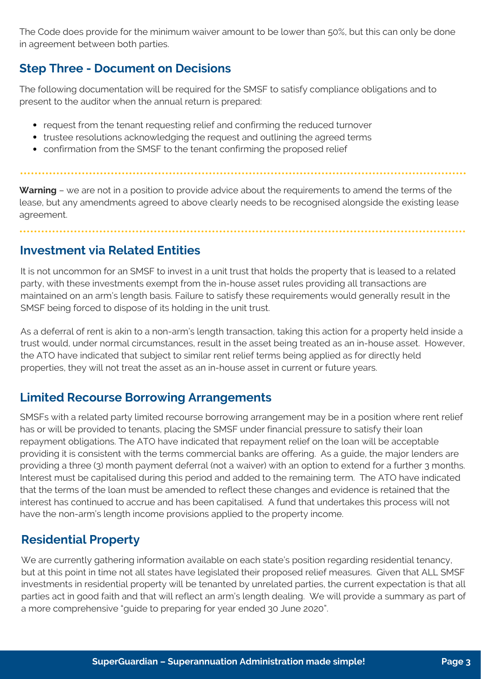The Code does provide for the minimum waiver amount to be lower than 50%, but this can only be done in agreement between both parties.

### **Step Three - Document on Decisions**

The following documentation will be required for the SMSF to satisfy compliance obligations and to present to the auditor when the annual return is prepared:

- request from the tenant requesting relief and confirming the reduced turnover
- trustee resolutions acknowledging the request and outlining the agreed terms
- confirmation from the SMSF to the tenant confirming the proposed relief

**Warning** – we are not in a position to provide advice about the requirements to amend the terms of the lease, but any amendments agreed to above clearly needs to be recognised alongside the existing lease agreement.

### **Investment via Related Entities**

It is not uncommon for an SMSF to invest in a unit trust that holds the property that is leased to a related party, with these investments exempt from the in-house asset rules providing all transactions are maintained on an arm's length basis. Failure to satisfy these requirements would generally result in the SMSF being forced to dispose of its holding in the unit trust.

As a deferral of rent is akin to a non-arm's length transaction, taking this action for a property held inside a trust would, under normal circumstances, result in the asset being treated as an in-house asset. However, the ATO have indicated that subject to similar rent relief terms being applied as for directly held properties, they will not treat the asset as an in-house asset in current or future years.

# **Limited Recourse Borrowing Arrangements**

SMSFs with a related party limited recourse borrowing arrangement may be in a position where rent relief has or will be provided to tenants, placing the SMSF under financial pressure to satisfy their loan repayment obligations. The ATO have indicated that repayment relief on the loan will be acceptable providing it is consistent with the terms commercial banks are offering. As a guide, the major lenders are providing a three (3) month payment deferral (not a waiver) with an option to extend for a further 3 months. Interest must be capitalised during this period and added to the remaining term. The ATO have indicated that the terms of the loan must be amended to reflect these changes and evidence is retained that the interest has continued to accrue and has been capitalised. A fund that undertakes this process will not have the non-arm's length income provisions applied to the property income.

# **Residential Property**

We are currently gathering information available on each state's position regarding residential tenancy, but at this point in time not all states have legislated their proposed relief measures. Given that ALL SMSF investments in residential property will be tenanted by unrelated parties, the current expectation is that all parties act in good faith and that will reflect an arm's length dealing. We will provide a summary as part of a more comprehensive "guide to preparing for year ended 30 June 2020".